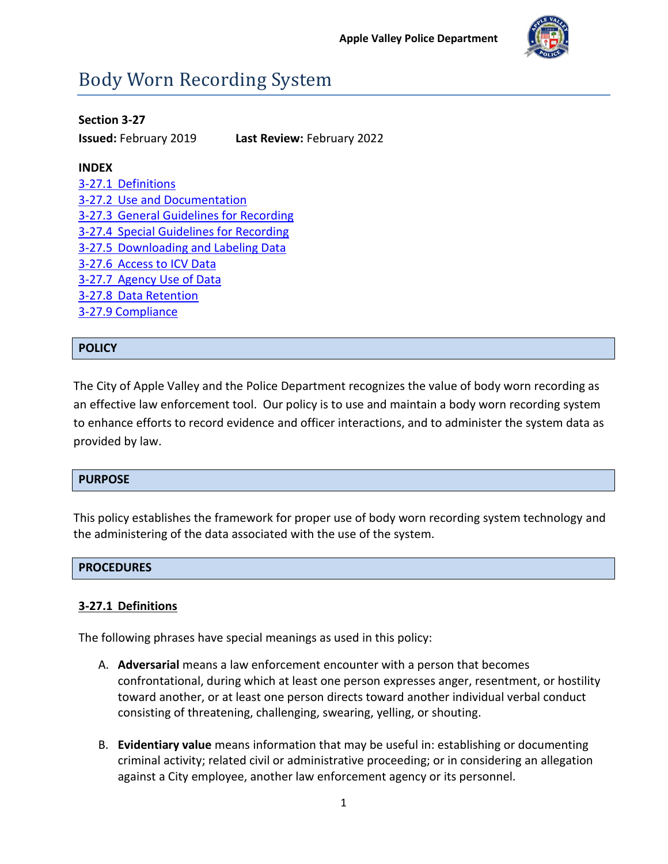

# Body Worn Recording System

## **Section 3-27**

**Issued:** February 2019 **Last Review:** February 2022

## **INDEX**

| 3-27.1 Definitions                      |
|-----------------------------------------|
| 3-27.2 Use and Documentation            |
| 3-27.3 General Guidelines for Recording |
| 3-27.4 Special Guidelines for Recording |
| 3-27.5 Downloading and Labeling Data    |
| 3-27.6 Access to ICV Data               |
| 3-27.7 Agency Use of Data               |
| 3-27.8 Data Retention                   |
| 3-27.9 Compliance                       |

# **POLICY**

The City of Apple Valley and the Police Department recognizes the value of body worn recording as an effective law enforcement tool. Our policy is to use and maintain a body worn recording system to enhance efforts to record evidence and officer interactions, and to administer the system data as provided by law.

# **PURPOSE**

This policy establishes the framework for proper use of body worn recording system technology and the administering of the data associated with the use of the system.

## **PROCEDURES**

# <span id="page-0-0"></span>**3-27.1 Definitions**

The following phrases have special meanings as used in this policy:

- A. **Adversarial** means a law enforcement encounter with a person that becomes confrontational, during which at least one person expresses anger, resentment, or hostility toward another, or at least one person directs toward another individual verbal conduct consisting of threatening, challenging, swearing, yelling, or shouting.
- B. **Evidentiary value** means information that may be useful in: establishing or documenting criminal activity; related civil or administrative proceeding; or in considering an allegation against a City employee, another law enforcement agency or its personnel.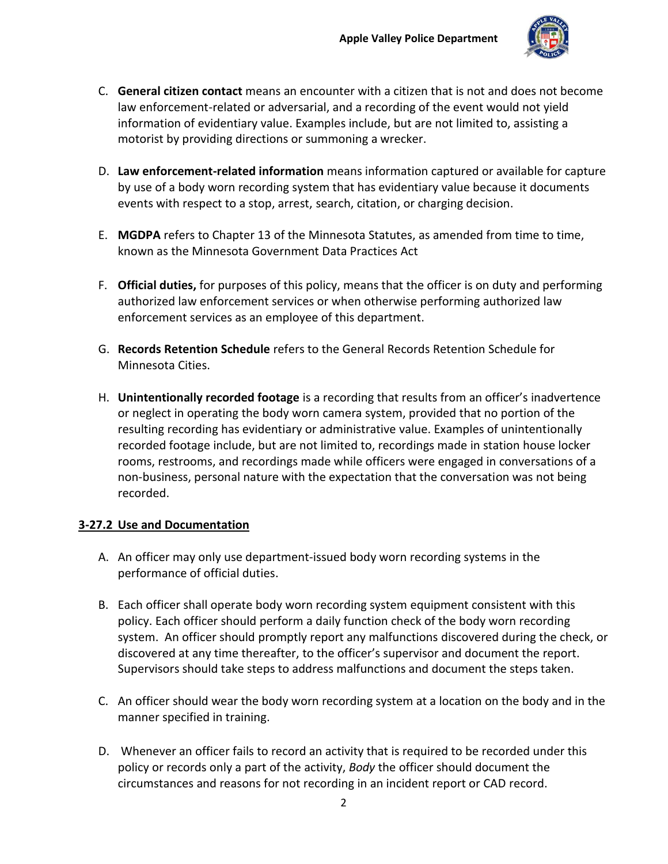

- C. **General citizen contact** means an encounter with a citizen that is not and does not become law enforcement-related or adversarial, and a recording of the event would not yield information of evidentiary value. Examples include, but are not limited to, assisting a motorist by providing directions or summoning a wrecker.
- D. **Law enforcement-related information** means information captured or available for capture by use of a body worn recording system that has evidentiary value because it documents events with respect to a stop, arrest, search, citation, or charging decision.
- E. **MGDPA** refers to Chapter 13 of the Minnesota Statutes, as amended from time to time, known as the Minnesota Government Data Practices Act
- F. **Official duties,** for purposes of this policy, means that the officer is on duty and performing authorized law enforcement services or when otherwise performing authorized law enforcement services as an employee of this department.
- G. **Records Retention Schedule** refers to the General Records Retention Schedule for Minnesota Cities.
- H. **Unintentionally recorded footage** is a recording that results from an officer's inadvertence or neglect in operating the body worn camera system, provided that no portion of the resulting recording has evidentiary or administrative value. Examples of unintentionally recorded footage include, but are not limited to, recordings made in station house locker rooms, restrooms, and recordings made while officers were engaged in conversations of a non-business, personal nature with the expectation that the conversation was not being recorded.

## <span id="page-1-0"></span>**3-27.2 Use and Documentation**

- A. An officer may only use department-issued body worn recording systems in the performance of official duties.
- B. Each officer shall operate body worn recording system equipment consistent with this policy. Each officer should perform a daily function check of the body worn recording system. An officer should promptly report any malfunctions discovered during the check, or discovered at any time thereafter, to the officer's supervisor and document the report. Supervisors should take steps to address malfunctions and document the steps taken.
- C. An officer should wear the body worn recording system at a location on the body and in the manner specified in training.
- D. Whenever an officer fails to record an activity that is required to be recorded under this policy or records only a part of the activity, *Body* the officer should document the circumstances and reasons for not recording in an incident report or CAD record.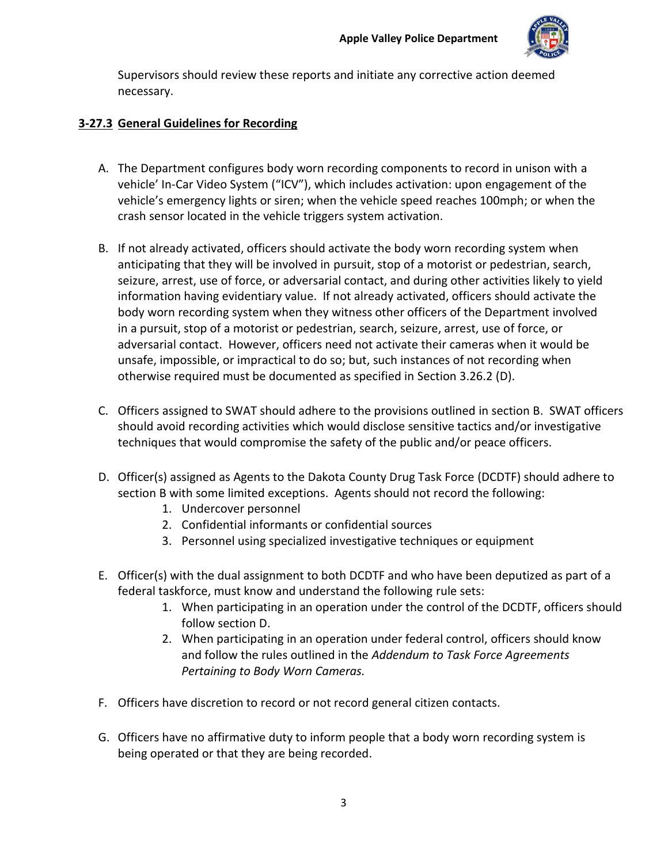

Supervisors should review these reports and initiate any corrective action deemed necessary.

# <span id="page-2-0"></span>**3-27.3 General Guidelines for Recording**

- A. The Department configures body worn recording components to record in unison with a vehicle' In-Car Video System ("ICV"), which includes activation: upon engagement of the vehicle's emergency lights or siren; when the vehicle speed reaches 100mph; or when the crash sensor located in the vehicle triggers system activation.
- B. If not already activated, officers should activate the body worn recording system when anticipating that they will be involved in pursuit, stop of a motorist or pedestrian, search, seizure, arrest, use of force, or adversarial contact, and during other activities likely to yield information having evidentiary value. If not already activated, officers should activate the body worn recording system when they witness other officers of the Department involved in a pursuit, stop of a motorist or pedestrian, search, seizure, arrest, use of force, or adversarial contact. However, officers need not activate their cameras when it would be unsafe, impossible, or impractical to do so; but, such instances of not recording when otherwise required must be documented as specified in Section 3.26.2 (D).
- C. Officers assigned to SWAT should adhere to the provisions outlined in section B. SWAT officers should avoid recording activities which would disclose sensitive tactics and/or investigative techniques that would compromise the safety of the public and/or peace officers.
- D. Officer(s) assigned as Agents to the Dakota County Drug Task Force (DCDTF) should adhere to section B with some limited exceptions. Agents should not record the following:
	- 1. Undercover personnel
	- 2. Confidential informants or confidential sources
	- 3. Personnel using specialized investigative techniques or equipment
- E. Officer(s) with the dual assignment to both DCDTF and who have been deputized as part of a federal taskforce, must know and understand the following rule sets:
	- 1. When participating in an operation under the control of the DCDTF, officers should follow section D.
	- 2. When participating in an operation under federal control, officers should know and follow the rules outlined in the *Addendum to Task Force Agreements Pertaining to Body Worn Cameras.*
- F. Officers have discretion to record or not record general citizen contacts.
- G. Officers have no affirmative duty to inform people that a body worn recording system is being operated or that they are being recorded.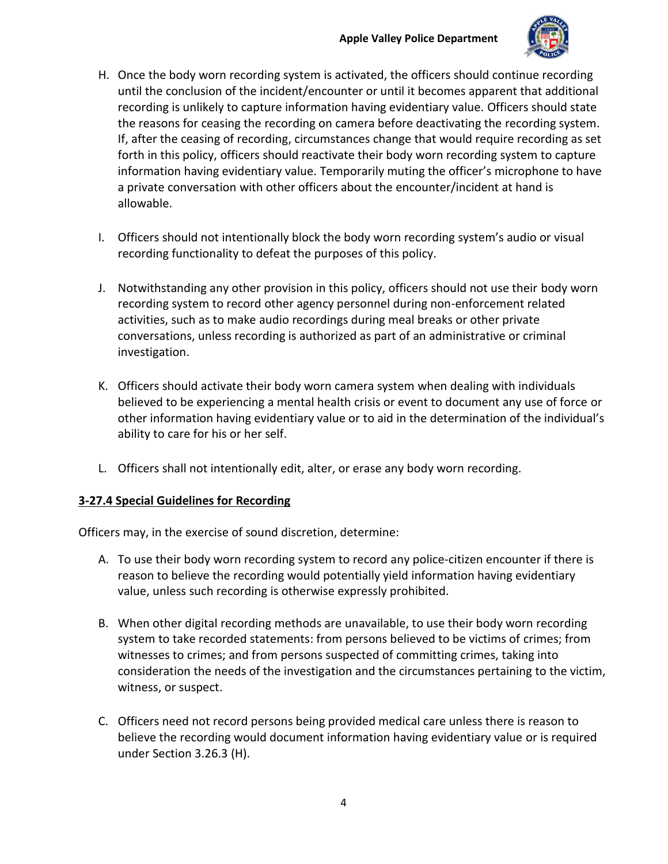

- H. Once the body worn recording system is activated, the officers should continue recording until the conclusion of the incident/encounter or until it becomes apparent that additional recording is unlikely to capture information having evidentiary value. Officers should state the reasons for ceasing the recording on camera before deactivating the recording system. If, after the ceasing of recording, circumstances change that would require recording as set forth in this policy, officers should reactivate their body worn recording system to capture information having evidentiary value. Temporarily muting the officer's microphone to have a private conversation with other officers about the encounter/incident at hand is allowable.
- I. Officers should not intentionally block the body worn recording system's audio or visual recording functionality to defeat the purposes of this policy.
- J. Notwithstanding any other provision in this policy, officers should not use their body worn recording system to record other agency personnel during non-enforcement related activities, such as to make audio recordings during meal breaks or other private conversations, unless recording is authorized as part of an administrative or criminal investigation.
- K. Officers should activate their body worn camera system when dealing with individuals believed to be experiencing a mental health crisis or event to document any use of force or other information having evidentiary value or to aid in the determination of the individual's ability to care for his or her self.
- L. Officers shall not intentionally edit, alter, or erase any body worn recording.

## <span id="page-3-0"></span>**3-27.4 Special Guidelines for Recording**

Officers may, in the exercise of sound discretion, determine:

- A. To use their body worn recording system to record any police-citizen encounter if there is reason to believe the recording would potentially yield information having evidentiary value, unless such recording is otherwise expressly prohibited.
- B. When other digital recording methods are unavailable, to use their body worn recording system to take recorded statements: from persons believed to be victims of crimes; from witnesses to crimes; and from persons suspected of committing crimes, taking into consideration the needs of the investigation and the circumstances pertaining to the victim, witness, or suspect.
- C. Officers need not record persons being provided medical care unless there is reason to believe the recording would document information having evidentiary value or is required under Section 3.26.3 (H).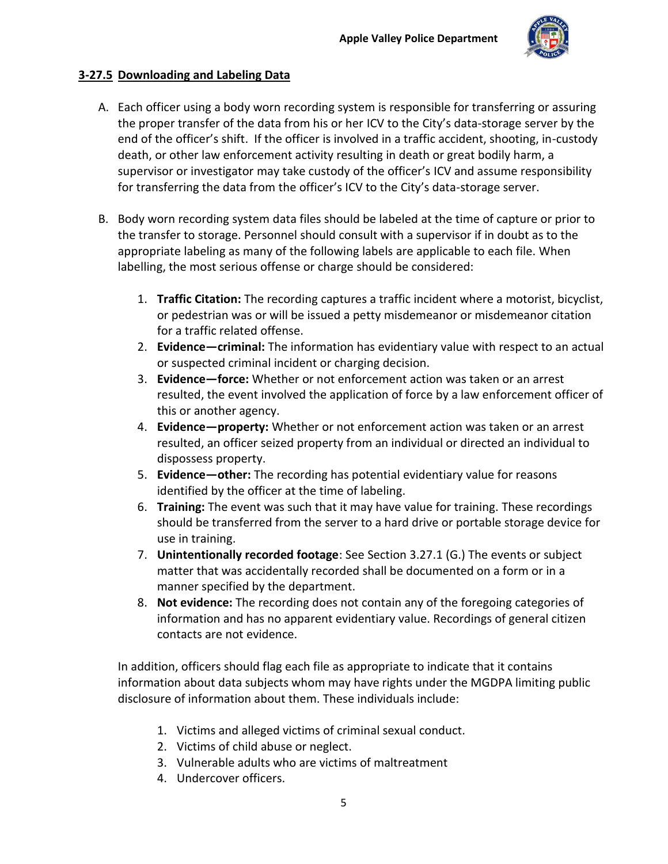

# <span id="page-4-0"></span>**3-27.5 Downloading and Labeling Data**

- A. Each officer using a body worn recording system is responsible for transferring or assuring the proper transfer of the data from his or her ICV to the City's data-storage server by the end of the officer's shift. If the officer is involved in a traffic accident, shooting, in-custody death, or other law enforcement activity resulting in death or great bodily harm, a supervisor or investigator may take custody of the officer's ICV and assume responsibility for transferring the data from the officer's ICV to the City's data-storage server.
- B. Body worn recording system data files should be labeled at the time of capture or prior to the transfer to storage. Personnel should consult with a supervisor if in doubt as to the appropriate labeling as many of the following labels are applicable to each file. When labelling, the most serious offense or charge should be considered:
	- 1. **Traffic Citation:** The recording captures a traffic incident where a motorist, bicyclist, or pedestrian was or will be issued a petty misdemeanor or misdemeanor citation for a traffic related offense.
	- 2. **Evidence—criminal:** The information has evidentiary value with respect to an actual or suspected criminal incident or charging decision.
	- 3. **Evidence—force:** Whether or not enforcement action was taken or an arrest resulted, the event involved the application of force by a law enforcement officer of this or another agency.
	- 4. **Evidence—property:** Whether or not enforcement action was taken or an arrest resulted, an officer seized property from an individual or directed an individual to dispossess property.
	- 5. **Evidence—other:** The recording has potential evidentiary value for reasons identified by the officer at the time of labeling.
	- 6. **Training:** The event was such that it may have value for training. These recordings should be transferred from the server to a hard drive or portable storage device for use in training.
	- 7. **Unintentionally recorded footage**: See Section 3.27.1 (G.) The events or subject matter that was accidentally recorded shall be documented on a form or in a manner specified by the department.
	- 8. **Not evidence:** The recording does not contain any of the foregoing categories of information and has no apparent evidentiary value. Recordings of general citizen contacts are not evidence.

In addition, officers should flag each file as appropriate to indicate that it contains information about data subjects whom may have rights under the MGDPA limiting public disclosure of information about them. These individuals include:

- 1. Victims and alleged victims of criminal sexual conduct.
- 2. Victims of child abuse or neglect.
- 3. Vulnerable adults who are victims of maltreatment
- 4. Undercover officers.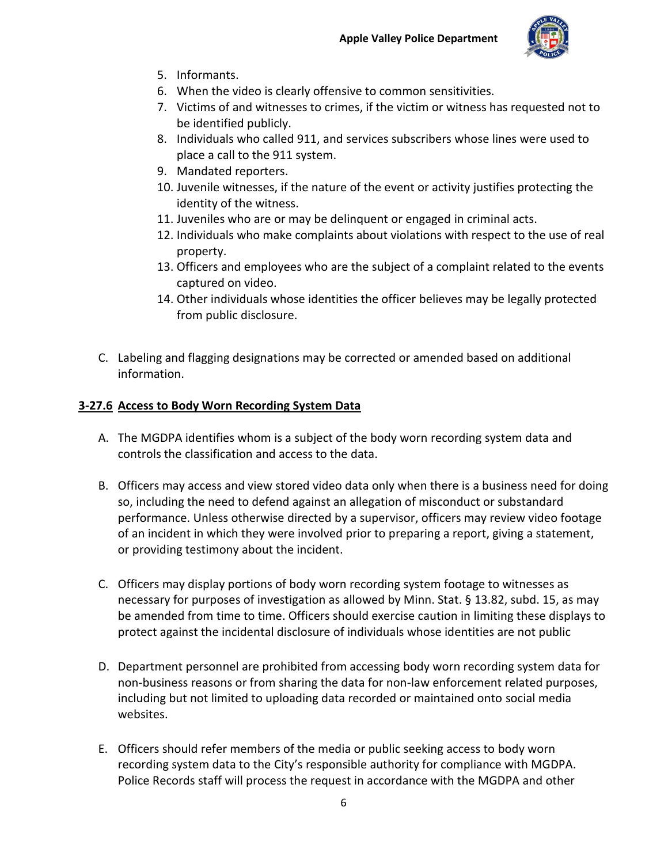

- 5. Informants.
- 6. When the video is clearly offensive to common sensitivities.
- 7. Victims of and witnesses to crimes, if the victim or witness has requested not to be identified publicly.
- 8. Individuals who called 911, and services subscribers whose lines were used to place a call to the 911 system.
- 9. Mandated reporters.
- 10. Juvenile witnesses, if the nature of the event or activity justifies protecting the identity of the witness.
- 11. Juveniles who are or may be delinquent or engaged in criminal acts.
- 12. Individuals who make complaints about violations with respect to the use of real property.
- 13. Officers and employees who are the subject of a complaint related to the events captured on video.
- 14. Other individuals whose identities the officer believes may be legally protected from public disclosure.
- C. Labeling and flagging designations may be corrected or amended based on additional information.

# <span id="page-5-0"></span>**3-27.6 Access to Body Worn Recording System Data**

- A. The MGDPA identifies whom is a subject of the body worn recording system data and controls the classification and access to the data.
- B. Officers may access and view stored video data only when there is a business need for doing so, including the need to defend against an allegation of misconduct or substandard performance. Unless otherwise directed by a supervisor, officers may review video footage of an incident in which they were involved prior to preparing a report, giving a statement, or providing testimony about the incident.
- C. Officers may display portions of body worn recording system footage to witnesses as necessary for purposes of investigation as allowed by Minn. Stat. § 13.82, subd. 15, as may be amended from time to time. Officers should exercise caution in limiting these displays to protect against the incidental disclosure of individuals whose identities are not public
- D. Department personnel are prohibited from accessing body worn recording system data for non-business reasons or from sharing the data for non-law enforcement related purposes, including but not limited to uploading data recorded or maintained onto social media websites.
- E. Officers should refer members of the media or public seeking access to body worn recording system data to the City's responsible authority for compliance with MGDPA. Police Records staff will process the request in accordance with the MGDPA and other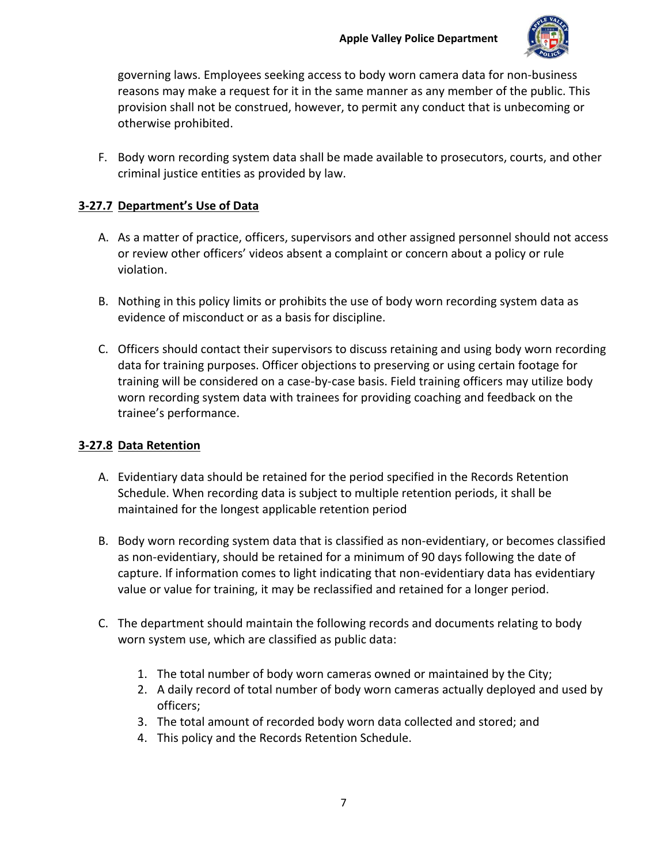

governing laws. Employees seeking access to body worn camera data for non-business reasons may make a request for it in the same manner as any member of the public. This provision shall not be construed, however, to permit any conduct that is unbecoming or otherwise prohibited.

F. Body worn recording system data shall be made available to prosecutors, courts, and other criminal justice entities as provided by law.

# <span id="page-6-0"></span>**3-27.7 Department's Use of Data**

- A. As a matter of practice, officers, supervisors and other assigned personnel should not access or review other officers' videos absent a complaint or concern about a policy or rule violation.
- B. Nothing in this policy limits or prohibits the use of body worn recording system data as evidence of misconduct or as a basis for discipline.
- C. Officers should contact their supervisors to discuss retaining and using body worn recording data for training purposes. Officer objections to preserving or using certain footage for training will be considered on a case-by-case basis. Field training officers may utilize body worn recording system data with trainees for providing coaching and feedback on the trainee's performance.

## <span id="page-6-1"></span>**3-27.8 Data Retention**

- A. Evidentiary data should be retained for the period specified in the Records Retention Schedule. When recording data is subject to multiple retention periods, it shall be maintained for the longest applicable retention period
- B. Body worn recording system data that is classified as non-evidentiary, or becomes classified as non-evidentiary, should be retained for a minimum of 90 days following the date of capture. If information comes to light indicating that non-evidentiary data has evidentiary value or value for training, it may be reclassified and retained for a longer period.
- C. The department should maintain the following records and documents relating to body worn system use, which are classified as public data:
	- 1. The total number of body worn cameras owned or maintained by the City;
	- 2. A daily record of total number of body worn cameras actually deployed and used by officers;
	- 3. The total amount of recorded body worn data collected and stored; and
	- 4. This policy and the Records Retention Schedule.